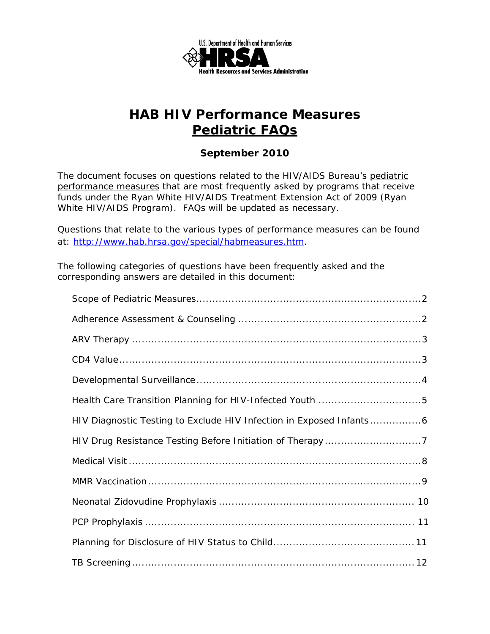

### *September 2010*

The document focuses on questions related to the HIV/AIDS Bureau's pediatric performance measures that are most frequently asked by programs that receive funds under the Ryan White HIV/AIDS Treatment Extension Act of 2009 (Ryan White HIV/AIDS Program). FAQs will be updated as necessary.

Questions that relate to the various types of performance measures can be found at: http://www.hab.hrsa.gov/special/habmeasures.htm.

The following categories of questions have been frequently asked and the corresponding answers are detailed in this document: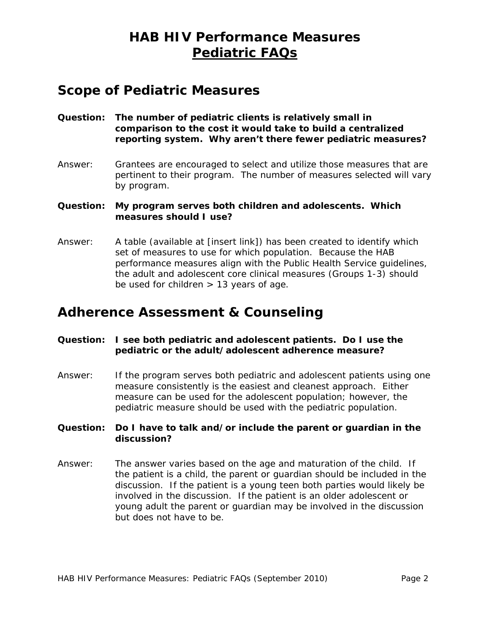### **Scope of Pediatric Measures**

- **Question: The number of pediatric clients is relatively small in comparison to the cost it would take to build a centralized reporting system. Why aren't there fewer pediatric measures?**
- Answer: Grantees are encouraged to select and utilize those measures that are pertinent to their program. The number of measures selected will vary by program.

#### **Question: My program serves both children and adolescents. Which measures should I use?**

Answer: A table (available at [insert link]) has been created to identify which set of measures to use for which population. Because the HAB performance measures align with the Public Health Service guidelines, the adult and adolescent core clinical measures (Groups 1-3) should be used for children  $> 13$  years of age.

### **Adherence Assessment & Counseling**

#### **Question: I see both pediatric and adolescent patients. Do I use the pediatric or the adult/adolescent adherence measure?**

Answer: If the program serves both pediatric and adolescent patients using one measure consistently is the easiest and cleanest approach. Either measure can be used for the adolescent population; however, the pediatric measure should be used with the pediatric population.

#### **Question: Do I have to talk and/or include the parent or guardian in the discussion?**

 the patient is a child, the parent or guardian should be included in the Answer: The answer varies based on the age and maturation of the child. If discussion. If the patient is a young teen both parties would likely be involved in the discussion. If the patient is an older adolescent or young adult the parent or guardian may be involved in the discussion but does not have to be.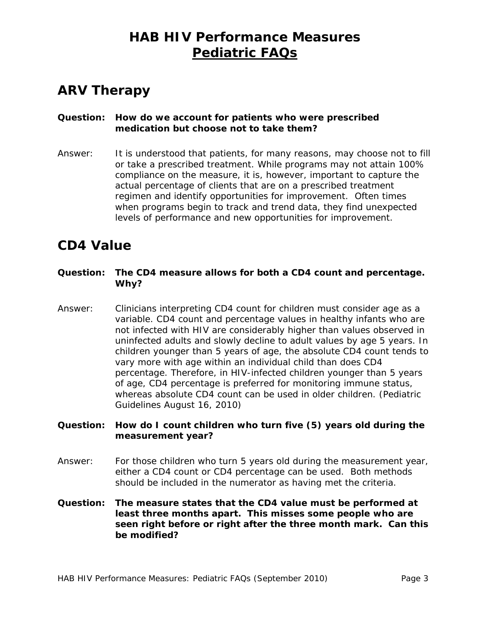# **ARV Therapy**

### **Question: How do we account for patients who were prescribed medication but choose not to take them?**

 actual percentage of clients that are on a prescribed treatment Answer: It is understood that patients, for many reasons, may choose not to fill or take a prescribed treatment. While programs may not attain 100% compliance on the measure, it is, however, important to capture the regimen and identify opportunities for improvement. Often times when programs begin to track and trend data, they find unexpected levels of performance and new opportunities for improvement.

### **CD4 Value**

#### **Question: The CD4 measure allows for both a CD4 count and percentage. Why?**

Answer: Clinicians interpreting CD4 count for children must consider age as a variable. CD4 count and percentage values in healthy infants who are not infected with HIV are considerably higher than values observed in uninfected adults and slowly decline to adult values by age 5 years. In children younger than 5 years of age, the absolute CD4 count tends to vary more with age within an individual child than does CD4 percentage. Therefore, in HIV-infected children younger than 5 years of age, CD4 percentage is preferred for monitoring immune status, whereas absolute CD4 count can be used in older children. (Pediatric Guidelines August 16, 2010)

#### **Question: How do I count children who turn five (5) years old during the measurement year?**

- Answer: For those children who turn 5 years old during the measurement year, either a CD4 count or CD4 percentage can be used. Both methods should be included in the numerator as having met the criteria.
- **Question: The measure states that the CD4 value must be performed at least three months apart. This misses some people who are seen right before or right after the three month mark. Can this be modified?**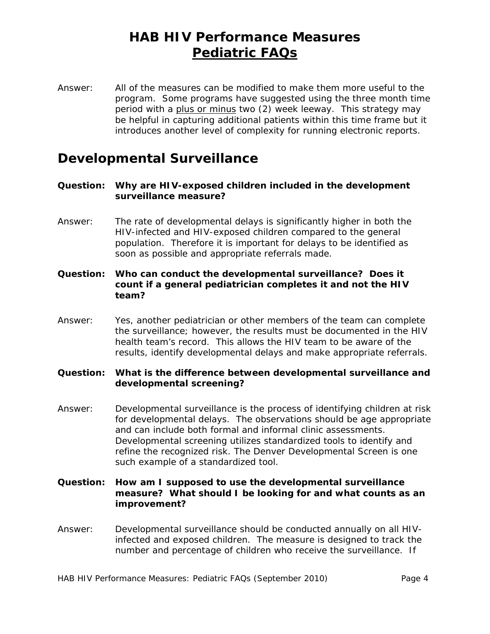Answer: All of the measures can be modified to make them more useful to the program. Some programs have suggested using the three month time period with a plus or minus two (2) week leeway. This strategy may be helpful in capturing additional patients within this time frame but it introduces another level of complexity for running electronic reports.

### **Developmental Surveillance**

- **Question: Why are HIV-exposed children included in the development surveillance measure?**
- Answer: The rate of developmental delays is significantly higher in both the HIV-infected and HIV-exposed children compared to the general population. Therefore it is important for delays to be identified as soon as possible and appropriate referrals made.
- **Question: Who can conduct the developmental surveillance? Does it count if a general pediatrician completes it and not the HIV team?**
- Answer: Yes, another pediatrician or other members of the team can complete the surveillance; however, the results must be documented in the HIV health team's record. This allows the HIV team to be aware of the results, identify developmental delays and make appropriate referrals.

#### **Question: What is the difference between developmental surveillance and developmental screening?**

- and can include both formal and informal clinic assessments. Answer: Developmental surveillance is the process of identifying children at risk for developmental delays. The observations should be age appropriate Developmental screening utilizes standardized tools to identify and refine the recognized risk. The Denver Developmental Screen is one such example of a standardized tool.
- **Question: How am I supposed to use the developmental surveillance measure? What should I be looking for and what counts as an improvement?**
- Answer: Developmental surveillance should be conducted annually on all HIVinfected and exposed children. The measure is designed to track the number and percentage of children who receive the surveillance. If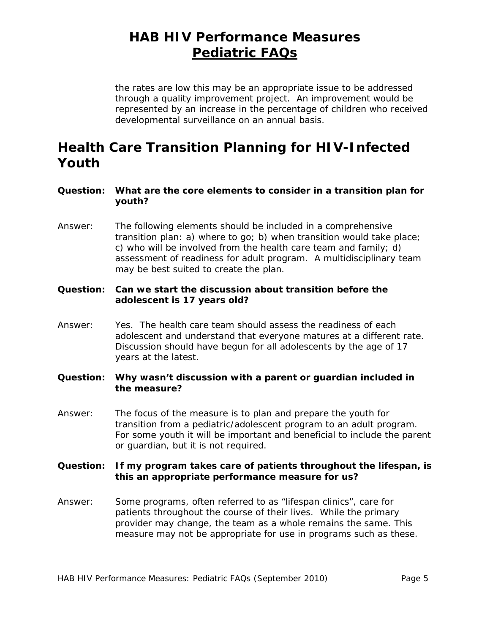the rates are low this may be an appropriate issue to be addressed through a quality improvement project. An improvement would be represented by an increase in the percentage of children who received developmental surveillance on an annual basis.

## **Health Care Transition Planning for HIV-Infected Youth**

#### **Question: What are the core elements to consider in a transition plan for youth?**

Answer: The following elements should be included in a comprehensive transition plan: a) where to go; b) when transition would take place; c) who will be involved from the health care team and family; d) assessment of readiness for adult program. A multidisciplinary team may be best suited to create the plan.

#### **Question: Can we start the discussion about transition before the adolescent is 17 years old?**

- Answer: Yes. The health care team should assess the readiness of each adolescent and understand that everyone matures at a different rate. Discussion should have begun for all adolescents by the age of 17 years at the latest.
- **Question: Why wasn't discussion with a parent or guardian included in the measure?**
- Answer: The focus of the measure is to plan and prepare the youth for transition from a pediatric/adolescent program to an adult program. For some youth it will be important and beneficial to include the parent or guardian, but it is not required.

### **Question: If my program takes care of patients throughout the lifespan, is this an appropriate performance measure for us?**

Answer: Some programs, often referred to as "lifespan clinics", care for patients throughout the course of their lives. While the primary provider may change, the team as a whole remains the same. This measure may not be appropriate for use in programs such as these.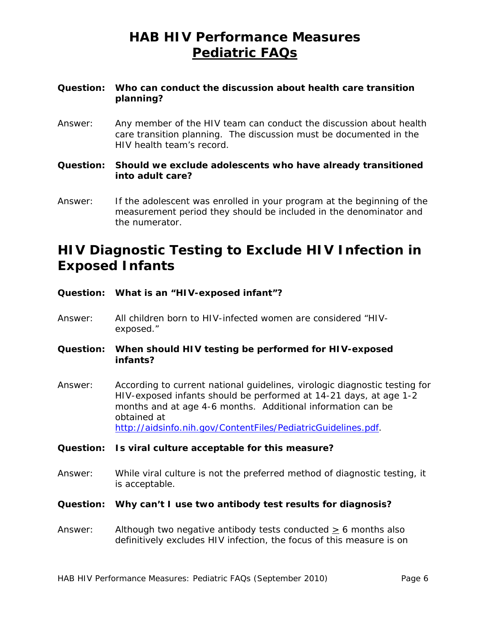### **Question: Who can conduct the discussion about health care transition planning?**

- Answer: Any member of the HIV team can conduct the discussion about health care transition planning. The discussion must be documented in the HIV health team's record.
- **Question: Should we exclude adolescents who have already transitioned into adult care?**
- Answer: If the adolescent was enrolled in your program at the beginning of the measurement period they should be included in the denominator and the numerator.

## **HIV Diagnostic Testing to Exclude HIV Infection in Exposed Infants**

- **Question: What is an "HIV-exposed infant"?**
- Answer: All children born to HIV-infected women are considered "HIVexposed."

**Question: When should HIV testing be performed for HIV-exposed infants?** 

Answer: According to current national guidelines, virologic diagnostic testing for HIV-exposed infants should be performed at 14-21 days, at age 1-2 months and at age 4-6 months. Additional information can be obtained at http://aidsinfo.nih.gov/ContentFiles/PediatricGuidelines.pdf.

**Question: Is viral culture acceptable for this measure?** 

Answer: While viral culture is not the preferred method of diagnostic testing, it is acceptable.

#### **Question: Why can't I use two antibody test results for diagnosis?**

Answer: Although two negative antibody tests conducted  $> 6$  months also definitively excludes HIV infection, the focus of this measure is on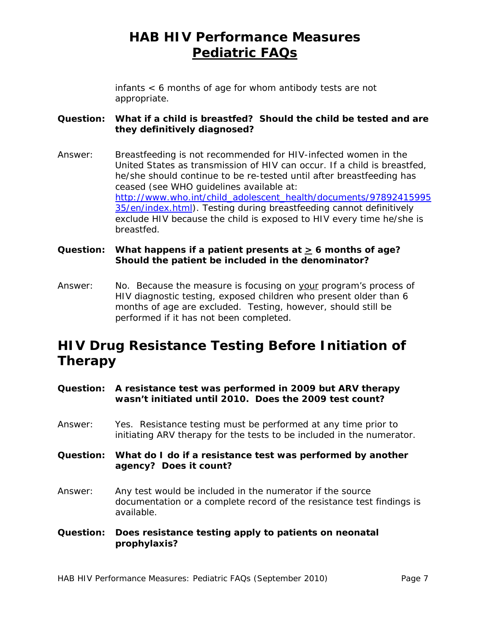infants < 6 months of age for whom antibody tests are not appropriate.

### **Question: What if a child is breastfed? Should the child be tested and are they definitively diagnosed?**

Answer: Breastfeeding is not recommended for HIV-infected women in the United States as transmission of HIV can occur. If a child is breastfed, he/she should continue to be re-tested until after breastfeeding has ceased (see WHO guidelines available at: http://www.who.int/child\_adolescent\_health/documents/97892415995 35/en/index.html). Testing during breastfeeding cannot definitively exclude HIV because the child is exposed to HIV every time he/she is breastfed.

### Question: What happens if a patient presents at  $\geq 6$  months of age? **Should the patient be included in the denominator?**

Answer: No. Because the measure is focusing on your program's process of HIV diagnostic testing, exposed children who present older than 6 months of age are excluded. Testing, however, should still be performed if it has not been completed.

## **HIV Drug Resistance Testing Before Initiation of Therapy**

- **Question: A resistance test was performed in 2009 but ARV therapy wasn't initiated until 2010. Does the 2009 test count?**
- Answer: Yes. Resistance testing must be performed at any time prior to initiating ARV therapy for the tests to be included in the numerator.

**Question: What do I do if a resistance test was performed by another agency? Does it count?** 

- Answer: Any test would be included in the numerator if the source documentation or a complete record of the resistance test findings is available.
- **Question: Does resistance testing apply to patients on neonatal prophylaxis?**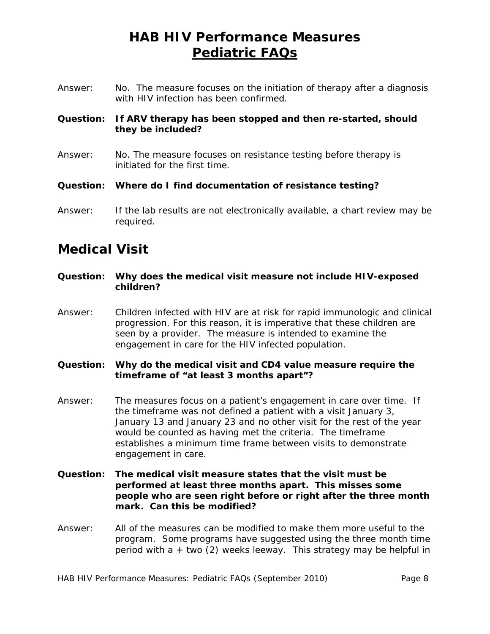Answer: No. The measure focuses on the initiation of therapy after a diagnosis with HIV infection has been confirmed.

### **Question: If ARV therapy has been stopped and then re-started, should they be included?**

- Answer: No. The measure focuses on resistance testing before therapy is initiated for the first time.
- **Question: Where do I find documentation of resistance testing?**
- Answer: If the lab results are not electronically available, a chart review may be required.

### **Medical Visit**

- **Question: Why does the medical visit measure not include HIV-exposed children?**
- Answer: Children infected with HIV are at risk for rapid immunologic and clinical progression. For this reason, it is imperative that these children are seen by a provider. The measure is intended to examine the engagement in care for the HIV infected population.
- **Question: Why do the medical visit and CD4 value measure require the timeframe of "at least 3 months apart"?**
- Answer: The measures focus on a patient's engagement in care over time. If the timeframe was not defined a patient with a visit January 3, January 13 and January 23 and no other visit for the rest of the year would be counted as having met the criteria. The timeframe establishes a minimum time frame between visits to demonstrate engagement in care.
- **Question: The medical visit measure states that the visit must be performed at least three months apart. This misses some people who are seen right before or right after the three month mark. Can this be modified?**
- Answer: All of the measures can be modified to make them more useful to the program. Some programs have suggested using the three month time period with a  $\pm$  two (2) weeks leeway. This strategy may be helpful in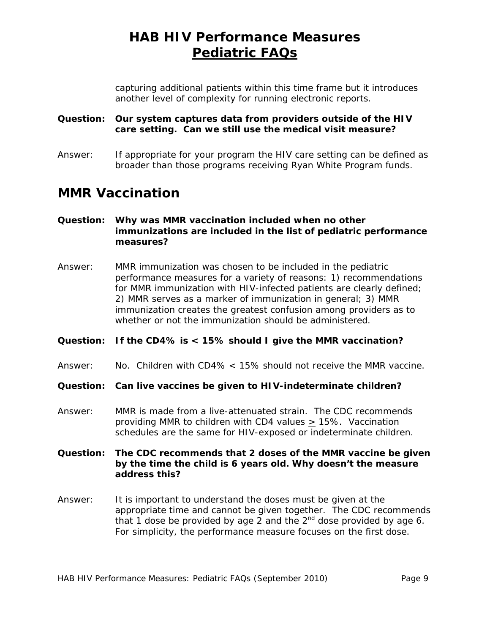capturing additional patients within this time frame but it introduces another level of complexity for running electronic reports.

#### **Question: Our system captures data from providers outside of the HIV care setting. Can we still use the medical visit measure?**

Answer: If appropriate for your program the HIV care setting can be defined as broader than those programs receiving Ryan White Program funds.

### **MMR Vaccination**

### **Question: Why was MMR vaccination included when no other immunizations are included in the list of pediatric performance measures?**

Answer: MMR immunization was chosen to be included in the pediatric performance measures for a variety of reasons: 1) recommendations for MMR immunization with HIV-infected patients are clearly defined; 2) MMR serves as a marker of immunization in general; 3) MMR immunization creates the greatest confusion among providers as to whether or not the immunization should be administered.

#### **Question: If the CD4% is < 15% should I give the MMR vaccination?**

Answer: No. Children with CD4% < 15% should not receive the MMR vaccine.

#### **Question: Can live vaccines be given to HIV-indeterminate children?**

Answer: MMR is made from a live-attenuated strain. The CDC recommends providing MMR to children with CD4 values  $\geq$  15%. Vaccination schedules are the same for HIV-exposed or indeterminate children.

#### **Question: The CDC recommends that 2 doses of the MMR vaccine be given by the time the child is 6 years old. Why doesn't the measure address this?**

Answer: It is important to understand the doses must be given at the appropriate time and cannot be given together. The CDC recommends that 1 dose be provided by age 2 and the  $2^{nd}$  dose provided by age 6. For simplicity, the performance measure focuses on the first dose.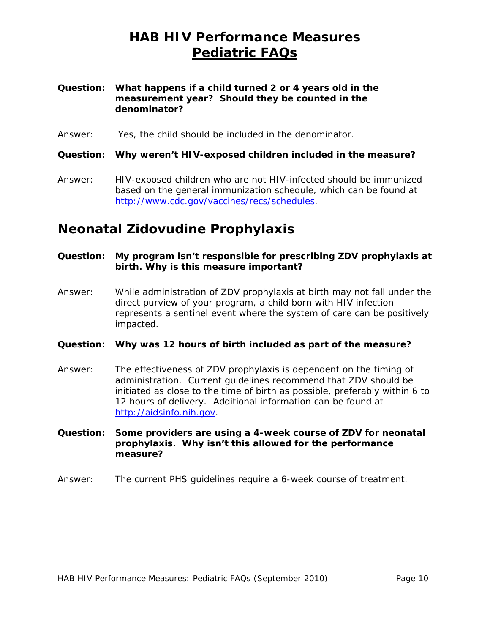#### <span id="page-9-0"></span>**Question: What happens if a child turned 2 or 4 years old in the measurement year? Should they be counted in the denominator?**

Answer: Yes, the child should be included in the denominator.

**Question: Why weren't HIV-exposed children included in the measure?** 

Answer: HIV-exposed children who are not HIV-infected should be immunized based on the general immunization schedule, which can be found at http://www.cdc.gov/vaccines/recs/schedules.

### **Neonatal Zidovudine Prophylaxis**

#### **Question: My program isn't responsible for prescribing ZDV prophylaxis at birth. Why is this measure important?**

Answer: While administration of ZDV prophylaxis at birth may not fall under the direct purview of your program, a child born with HIV infection represents a sentinel event where the system of care can be positively impacted.

#### **Question: Why was 12 hours of birth included as part of the measure?**

- Answer: The effectiveness of ZDV prophylaxis is dependent on the timing of administration. Current guidelines recommend that ZDV should be initiated as close to the time of birth as possible, preferably within 6 to 12 hours of delivery. Additional information can be found at http://aidsinfo.nih.gov.
- **Question: Some providers are using a 4-week course of ZDV for neonatal prophylaxis. Why isn't this allowed for the performance measure?**
- Answer: The current PHS guidelines require a 6-week course of treatment.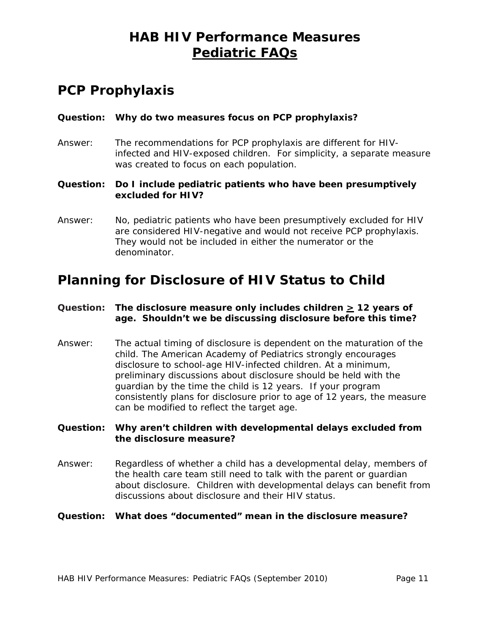## **PCP Prophylaxis**

### **Question: Why do two measures focus on PCP prophylaxis?**

- Answer: The recommendations for PCP prophylaxis are different for HIVinfected and HIV-exposed children. For simplicity, a separate measure was created to focus on each population.
- **Question: Do I include pediatric patients who have been presumptively excluded for HIV?**
- Answer: No, pediatric patients who have been presumptively excluded for HIV are considered HIV-negative and would not receive PCP prophylaxis. They would not be included in either the numerator or the denominator.

## **Planning for Disclosure of HIV Status to Child**

### Question: The disclosure measure only includes children  $\geq$  12 years of **age. Shouldn't we be discussing disclosure before this time?**

Answer: The actual timing of disclosure is dependent on the maturation of the child. The American Academy of Pediatrics strongly encourages disclosure to school-age HIV-infected children. At a minimum, preliminary discussions about disclosure should be held with the guardian by the time the child is 12 years. If your program consistently plans for disclosure prior to age of 12 years, the measure can be modified to reflect the target age.

**Question: Why aren't children with developmental delays excluded from the disclosure measure?** 

Answer: Regardless of whether a child has a developmental delay, members of the health care team still need to talk with the parent or guardian about disclosure. Children with developmental delays can benefit from discussions about disclosure and their HIV status.

#### **Question: What does "documented" mean in the disclosure measure?**